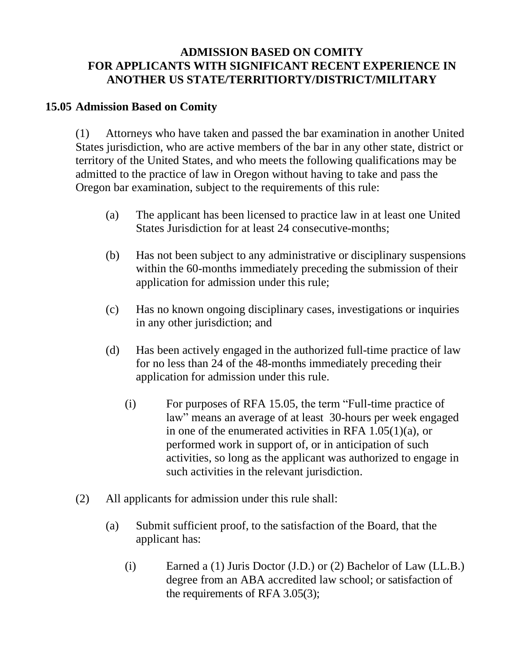## **ADMISSION BASED ON COMITY FOR APPLICANTS WITH SIGNIFICANT RECENT EXPERIENCE IN ANOTHER US STATE/TERRITIORTY/DISTRICT/MILITARY**

## **15.05 Admission Based on Comity**

(1) Attorneys who have taken and passed the bar examination in another United States jurisdiction, who are active members of the bar in any other state, district or territory of the United States, and who meets the following qualifications may be admitted to the practice of law in Oregon without having to take and pass the Oregon bar examination, subject to the requirements of this rule:

- (a) The applicant has been licensed to practice law in at least one United States Jurisdiction for at least 24 consecutive-months;
- (b) Has not been subject to any administrative or disciplinary suspensions within the 60-months immediately preceding the submission of their application for admission under this rule;
- (c) Has no known ongoing disciplinary cases, investigations or inquiries in any other jurisdiction; and
- (d) Has been actively engaged in the authorized full-time practice of law for no less than 24 of the 48-months immediately preceding their application for admission under this rule.
	- (i) For purposes of RFA 15.05, the term "Full-time practice of law" means an average of at least 30-hours per week engaged in one of the enumerated activities in RFA 1.05(1)(a), or performed work in support of, or in anticipation of such activities, so long as the applicant was authorized to engage in such activities in the relevant jurisdiction.
- (2) All applicants for admission under this rule shall:
	- (a) Submit sufficient proof, to the satisfaction of the Board, that the applicant has:
		- (i) Earned a (1) Juris Doctor (J.D.) or (2) Bachelor of Law (LL.B.) degree from an ABA accredited law school; or satisfaction of the requirements of RFA 3.05(3);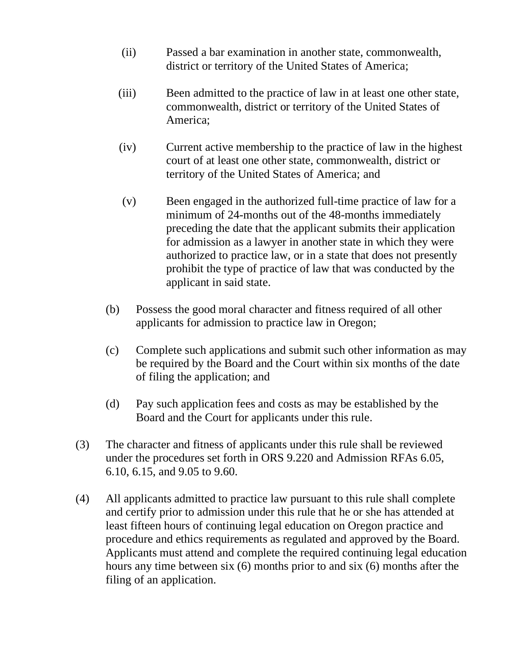- (ii) Passed a bar examination in another state, commonwealth, district or territory of the United States of America;
- (iii) Been admitted to the practice of law in at least one other state, commonwealth, district or territory of the United States of America;
- (iv) Current active membership to the practice of law in the highest court of at least one other state, commonwealth, district or territory of the United States of America; and
- (v) Been engaged in the authorized full-time practice of law for a minimum of 24-months out of the 48-months immediately preceding the date that the applicant submits their application for admission as a lawyer in another state in which they were authorized to practice law, or in a state that does not presently prohibit the type of practice of law that was conducted by the applicant in said state.
- (b) Possess the good moral character and fitness required of all other applicants for admission to practice law in Oregon;
- (c) Complete such applications and submit such other information as may be required by the Board and the Court within six months of the date of filing the application; and
- (d) Pay such application fees and costs as may be established by the Board and the Court for applicants under this rule.
- (3) The character and fitness of applicants under this rule shall be reviewed under the procedures set forth in ORS 9.220 and Admission RFAs 6.05, 6.10, 6.15, and 9.05 to 9.60.
- (4) All applicants admitted to practice law pursuant to this rule shall complete and certify prior to admission under this rule that he or she has attended at least fifteen hours of continuing legal education on Oregon practice and procedure and ethics requirements as regulated and approved by the Board. Applicants must attend and complete the required continuing legal education hours any time between six (6) months prior to and six (6) months after the filing of an application.